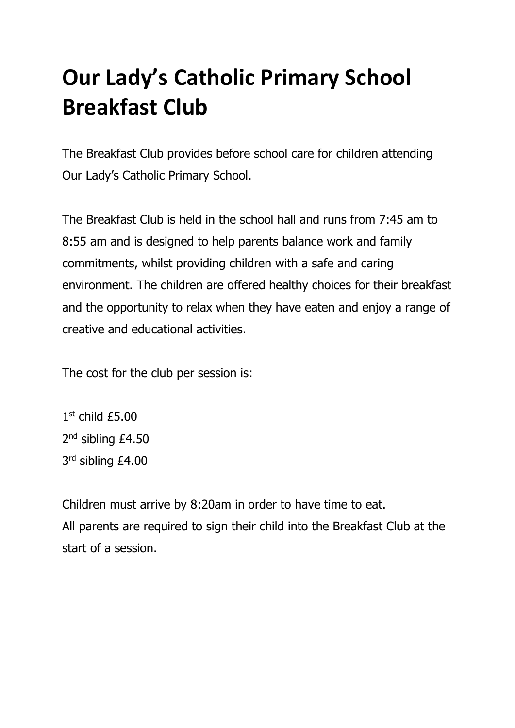# **Our Lady's Catholic Primary School Breakfast Club**

The Breakfast Club provides before school care for children attending Our Lady's Catholic Primary School.

The Breakfast Club is held in the school hall and runs from 7:45 am to 8:55 am and is designed to help parents balance work and family commitments, whilst providing children with a safe and caring environment. The children are offered healthy choices for their breakfast and the opportunity to relax when they have eaten and enjoy a range of creative and educational activities.

The cost for the club per session is:

1 st child £5.00 2<sup>nd</sup> sibling £4.50 3<sup>rd</sup> sibling £4.00

Children must arrive by 8:20am in order to have time to eat. All parents are required to sign their child into the Breakfast Club at the start of a session.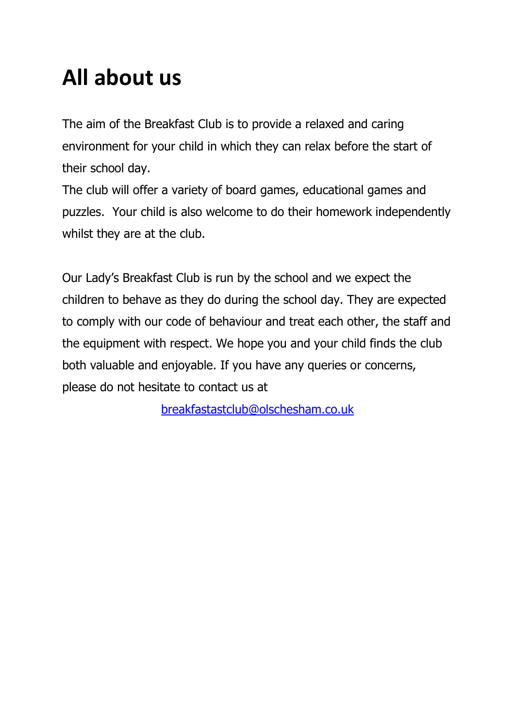# **All about us**

The aim of the Breakfast Club is to provide a relaxed and caring environment for your child in which they can relax before the start of their school day.

The club will offer a variety of board games, educational games and puzzles. Your child is also welcome to do their homework independently whilst they are at the club.

Our Lady's Breakfast Club is run by the school and we expect the children to behave as they do during the school day. They are expected to comply with our code of behaviour and treat each other, the staff and the equipment with respect. We hope you and your child finds the club both valuable and enjoyable. If you have any queries or concerns, please do not hesitate to contact us at

[breakfastastclub@olschesham.co.uk](mailto:breakfastastclub@olschesham.co.uk)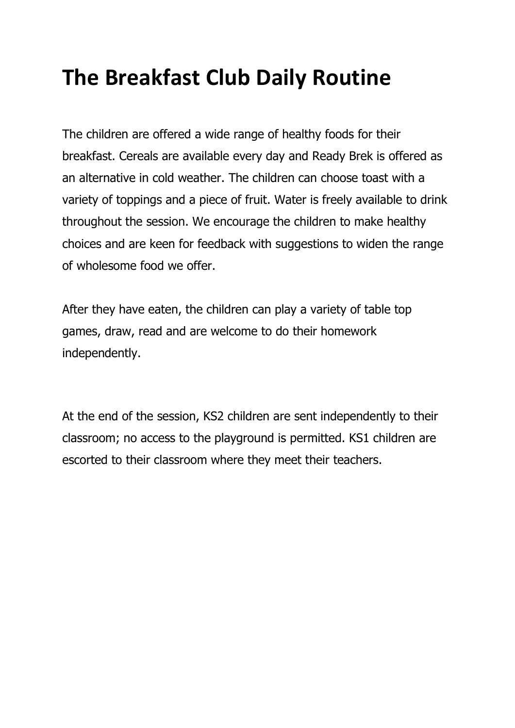## **The Breakfast Club Daily Routine**

The children are offered a wide range of healthy foods for their breakfast. Cereals are available every day and Ready Brek is offered as an alternative in cold weather. The children can choose toast with a variety of toppings and a piece of fruit. Water is freely available to drink throughout the session. We encourage the children to make healthy choices and are keen for feedback with suggestions to widen the range of wholesome food we offer.

After they have eaten, the children can play a variety of table top games, draw, read and are welcome to do their homework independently.

At the end of the session, KS2 children are sent independently to their classroom; no access to the playground is permitted. KS1 children are escorted to their classroom where they meet their teachers.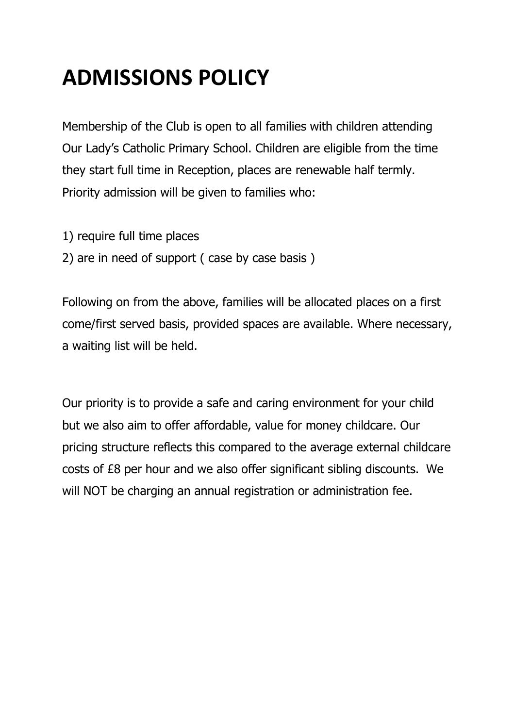# **ADMISSIONS POLICY**

Membership of the Club is open to all families with children attending Our Lady's Catholic Primary School. Children are eligible from the time they start full time in Reception, places are renewable half termly. Priority admission will be given to families who:

- 1) require full time places
- 2) are in need of support ( case by case basis )

Following on from the above, families will be allocated places on a first come/first served basis, provided spaces are available. Where necessary, a waiting list will be held.

Our priority is to provide a safe and caring environment for your child but we also aim to offer affordable, value for money childcare. Our pricing structure reflects this compared to the average external childcare costs of £8 per hour and we also offer significant sibling discounts.We will NOT be charging an annual registration or administration fee.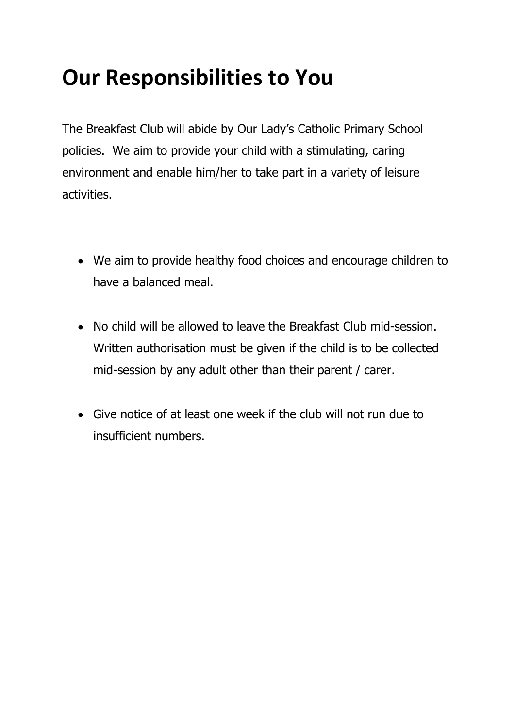## **Our Responsibilities to You**

The Breakfast Club will abide by Our Lady's Catholic Primary School policies. We aim to provide your child with a stimulating, caring environment and enable him/her to take part in a variety of leisure activities.

- We aim to provide healthy food choices and encourage children to have a balanced meal.
- No child will be allowed to leave the Breakfast Club mid-session. Written authorisation must be given if the child is to be collected mid-session by any adult other than their parent / carer.
- Give notice of at least one week if the club will not run due to insufficient numbers.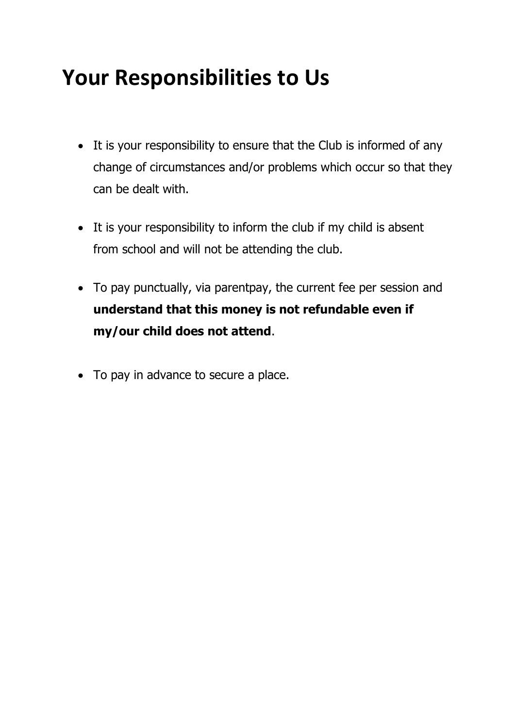## **Your Responsibilities to Us**

- It is your responsibility to ensure that the Club is informed of any change of circumstances and/or problems which occur so that they can be dealt with.
- It is your responsibility to inform the club if my child is absent from school and will not be attending the club.
- To pay punctually, via parentpay, the current fee per session and **understand that this money is not refundable even if my/our child does not attend**.
- To pay in advance to secure a place.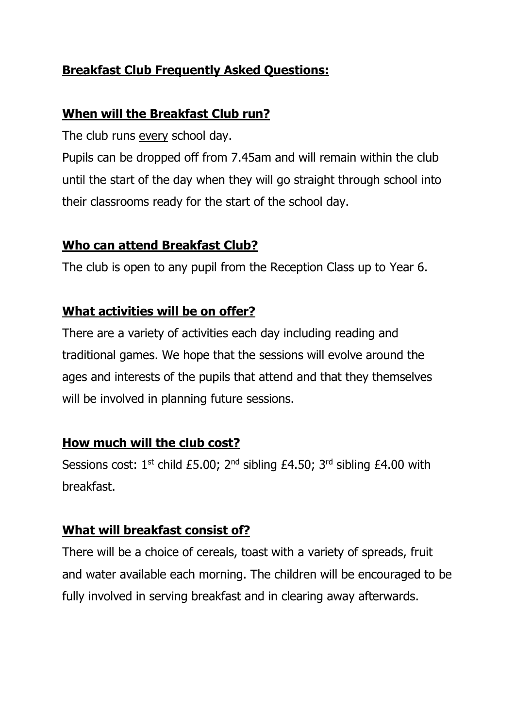### **Breakfast Club Frequently Asked Questions:**

#### **When will the Breakfast Club run?**

The club runs every school day.

Pupils can be dropped off from 7.45am and will remain within the club until the start of the day when they will go straight through school into their classrooms ready for the start of the school day.

#### **Who can attend Breakfast Club?**

The club is open to any pupil from the Reception Class up to Year 6.

#### **What activities will be on offer?**

There are a variety of activities each day including reading and traditional games. We hope that the sessions will evolve around the ages and interests of the pupils that attend and that they themselves will be involved in planning future sessions.

### **How much will the club cost?**

Sessions cost:  $1^{st}$  child £5.00;  $2^{nd}$  sibling £4.50;  $3^{rd}$  sibling £4.00 with breakfast.

#### **What will breakfast consist of?**

There will be a choice of cereals, toast with a variety of spreads, fruit and water available each morning. The children will be encouraged to be fully involved in serving breakfast and in clearing away afterwards.